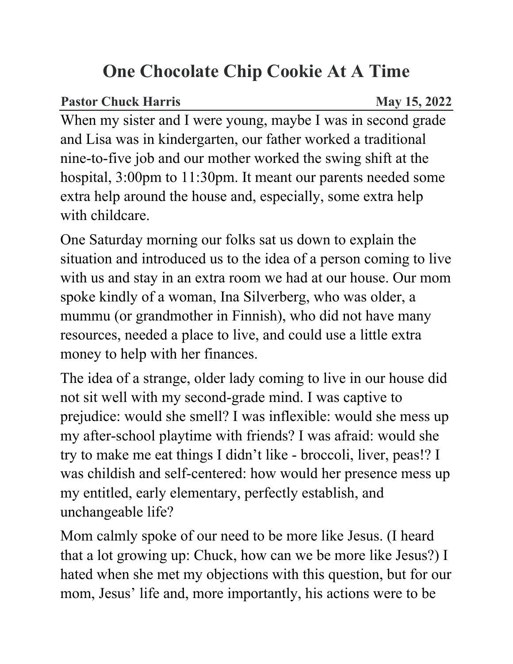## **One Chocolate Chip Cookie At A Time**

## **Pastor Chuck Harris May 15, 2022**

When my sister and I were young, maybe I was in second grade and Lisa was in kindergarten, our father worked a traditional nine-to-five job and our mother worked the swing shift at the hospital, 3:00pm to 11:30pm. It meant our parents needed some extra help around the house and, especially, some extra help with childcare.

One Saturday morning our folks sat us down to explain the situation and introduced us to the idea of a person coming to live with us and stay in an extra room we had at our house. Our mom spoke kindly of a woman, Ina Silverberg, who was older, a mummu (or grandmother in Finnish), who did not have many resources, needed a place to live, and could use a little extra money to help with her finances.

The idea of a strange, older lady coming to live in our house did not sit well with my second-grade mind. I was captive to prejudice: would she smell? I was inflexible: would she mess up my after-school playtime with friends? I was afraid: would she try to make me eat things I didn't like - broccoli, liver, peas!? I was childish and self-centered: how would her presence mess up my entitled, early elementary, perfectly establish, and unchangeable life?

Mom calmly spoke of our need to be more like Jesus. (I heard that a lot growing up: Chuck, how can we be more like Jesus?) I hated when she met my objections with this question, but for our mom, Jesus' life and, more importantly, his actions were to be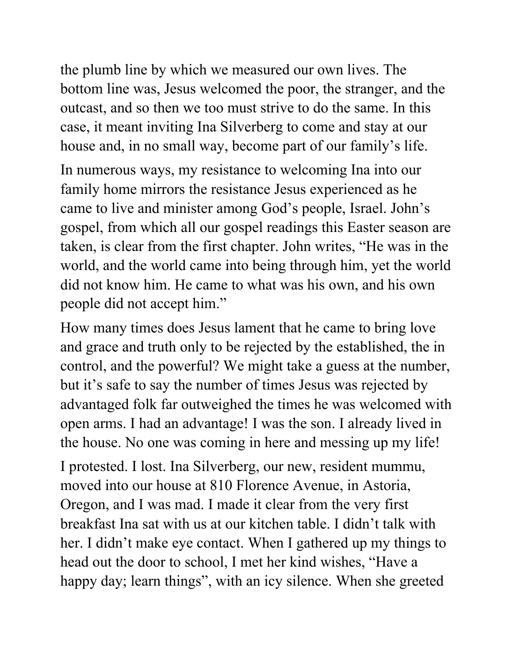the plumb line by which we measured our own lives. The bottom line was, Jesus welcomed the poor, the stranger, and the outcast, and so then we too must strive to do the same. In this case, it meant inviting Ina Silverberg to come and stay at our house and, in no small way, become part of our family's life.

In numerous ways, my resistance to welcoming Ina into our family home mirrors the resistance Jesus experienced as he came to live and minister among God's people, Israel. John's gospel, from which all our gospel readings this Easter season are taken, is clear from the first chapter. John writes, "He was in the world, and the world came into being through him, yet the world did not know him. He came to what was his own, and his own people did not accept him."

How many times does Jesus lament that he came to bring love and grace and truth only to be rejected by the established, the in control, and the powerful? We might take a guess at the number, but it's safe to say the number of times Jesus was rejected by advantaged folk far outweighed the times he was welcomed with open arms. I had an advantage! I was the son. I already lived in the house. No one was coming in here and messing up my life!

I protested. I lost. Ina Silverberg, our new, resident mummu, moved into our house at 810 Florence Avenue, in Astoria, Oregon, and I was mad. I made it clear from the very first breakfast Ina sat with us at our kitchen table. I didn't talk with her. I didn't make eye contact. When I gathered up my things to head out the door to school, I met her kind wishes, "Have a happy day; learn things", with an icy silence. When she greeted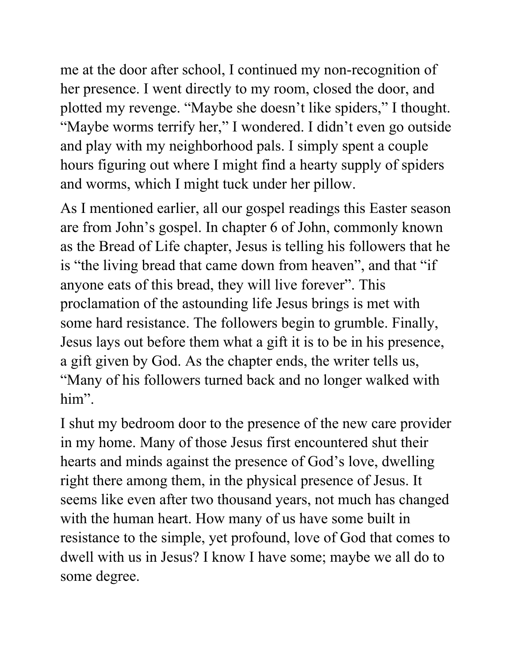me at the door after school, I continued my non-recognition of her presence. I went directly to my room, closed the door, and plotted my revenge. "Maybe she doesn't like spiders," I thought. "Maybe worms terrify her," I wondered. I didn't even go outside and play with my neighborhood pals. I simply spent a couple hours figuring out where I might find a hearty supply of spiders and worms, which I might tuck under her pillow.

As I mentioned earlier, all our gospel readings this Easter season are from John's gospel. In chapter 6 of John, commonly known as the Bread of Life chapter, Jesus is telling his followers that he is "the living bread that came down from heaven", and that "if anyone eats of this bread, they will live forever". This proclamation of the astounding life Jesus brings is met with some hard resistance. The followers begin to grumble. Finally, Jesus lays out before them what a gift it is to be in his presence, a gift given by God. As the chapter ends, the writer tells us, "Many of his followers turned back and no longer walked with him".

I shut my bedroom door to the presence of the new care provider in my home. Many of those Jesus first encountered shut their hearts and minds against the presence of God's love, dwelling right there among them, in the physical presence of Jesus. It seems like even after two thousand years, not much has changed with the human heart. How many of us have some built in resistance to the simple, yet profound, love of God that comes to dwell with us in Jesus? I know I have some; maybe we all do to some degree.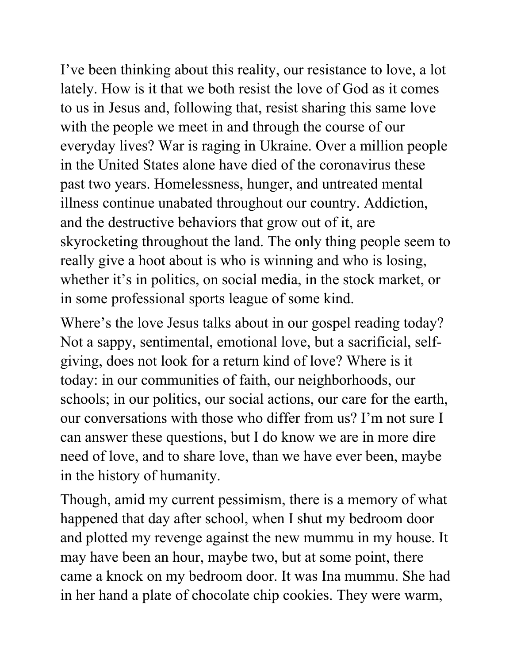I've been thinking about this reality, our resistance to love, a lot lately. How is it that we both resist the love of God as it comes to us in Jesus and, following that, resist sharing this same love with the people we meet in and through the course of our everyday lives? War is raging in Ukraine. Over a million people in the United States alone have died of the coronavirus these past two years. Homelessness, hunger, and untreated mental illness continue unabated throughout our country. Addiction, and the destructive behaviors that grow out of it, are skyrocketing throughout the land. The only thing people seem to really give a hoot about is who is winning and who is losing, whether it's in politics, on social media, in the stock market, or in some professional sports league of some kind.

Where's the love Jesus talks about in our gospel reading today? Not a sappy, sentimental, emotional love, but a sacrificial, selfgiving, does not look for a return kind of love? Where is it today: in our communities of faith, our neighborhoods, our schools; in our politics, our social actions, our care for the earth, our conversations with those who differ from us? I'm not sure I can answer these questions, but I do know we are in more dire need of love, and to share love, than we have ever been, maybe in the history of humanity.

Though, amid my current pessimism, there is a memory of what happened that day after school, when I shut my bedroom door and plotted my revenge against the new mummu in my house. It may have been an hour, maybe two, but at some point, there came a knock on my bedroom door. It was Ina mummu. She had in her hand a plate of chocolate chip cookies. They were warm,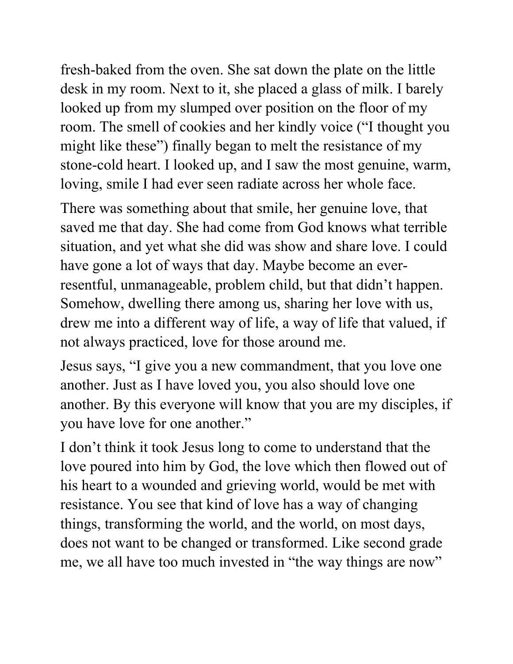fresh-baked from the oven. She sat down the plate on the little desk in my room. Next to it, she placed a glass of milk. I barely looked up from my slumped over position on the floor of my room. The smell of cookies and her kindly voice ("I thought you might like these") finally began to melt the resistance of my stone-cold heart. I looked up, and I saw the most genuine, warm, loving, smile I had ever seen radiate across her whole face.

There was something about that smile, her genuine love, that saved me that day. She had come from God knows what terrible situation, and yet what she did was show and share love. I could have gone a lot of ways that day. Maybe become an everresentful, unmanageable, problem child, but that didn't happen. Somehow, dwelling there among us, sharing her love with us, drew me into a different way of life, a way of life that valued, if not always practiced, love for those around me.

Jesus says, "I give you a new commandment, that you love one another. Just as I have loved you, you also should love one another. By this everyone will know that you are my disciples, if you have love for one another."

I don't think it took Jesus long to come to understand that the love poured into him by God, the love which then flowed out of his heart to a wounded and grieving world, would be met with resistance. You see that kind of love has a way of changing things, transforming the world, and the world, on most days, does not want to be changed or transformed. Like second grade me, we all have too much invested in "the way things are now"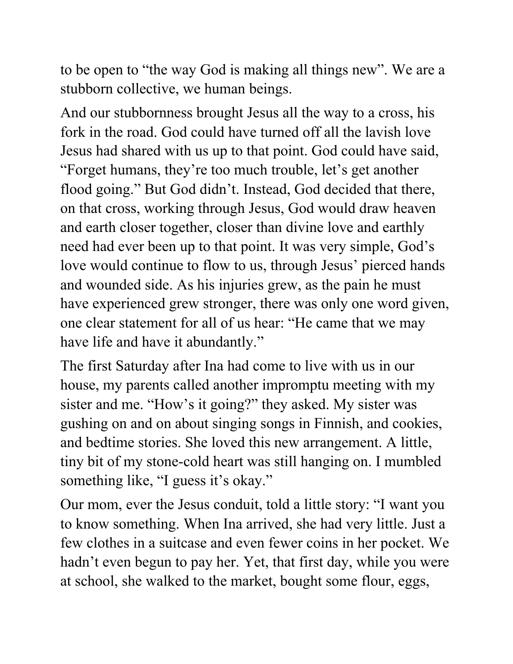to be open to "the way God is making all things new". We are a stubborn collective, we human beings.

And our stubbornness brought Jesus all the way to a cross, his fork in the road. God could have turned off all the lavish love Jesus had shared with us up to that point. God could have said, "Forget humans, they're too much trouble, let's get another flood going." But God didn't. Instead, God decided that there, on that cross, working through Jesus, God would draw heaven and earth closer together, closer than divine love and earthly need had ever been up to that point. It was very simple, God's love would continue to flow to us, through Jesus' pierced hands and wounded side. As his injuries grew, as the pain he must have experienced grew stronger, there was only one word given, one clear statement for all of us hear: "He came that we may have life and have it abundantly."

The first Saturday after Ina had come to live with us in our house, my parents called another impromptu meeting with my sister and me. "How's it going?" they asked. My sister was gushing on and on about singing songs in Finnish, and cookies, and bedtime stories. She loved this new arrangement. A little, tiny bit of my stone-cold heart was still hanging on. I mumbled something like, "I guess it's okay."

Our mom, ever the Jesus conduit, told a little story: "I want you to know something. When Ina arrived, she had very little. Just a few clothes in a suitcase and even fewer coins in her pocket. We hadn't even begun to pay her. Yet, that first day, while you were at school, she walked to the market, bought some flour, eggs,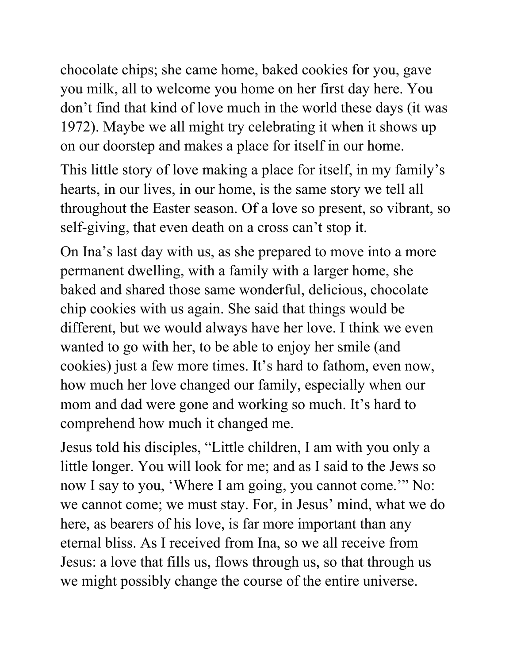chocolate chips; she came home, baked cookies for you, gave you milk, all to welcome you home on her first day here. You don't find that kind of love much in the world these days (it was 1972). Maybe we all might try celebrating it when it shows up on our doorstep and makes a place for itself in our home.

This little story of love making a place for itself, in my family's hearts, in our lives, in our home, is the same story we tell all throughout the Easter season. Of a love so present, so vibrant, so self-giving, that even death on a cross can't stop it.

On Ina's last day with us, as she prepared to move into a more permanent dwelling, with a family with a larger home, she baked and shared those same wonderful, delicious, chocolate chip cookies with us again. She said that things would be different, but we would always have her love. I think we even wanted to go with her, to be able to enjoy her smile (and cookies) just a few more times. It's hard to fathom, even now, how much her love changed our family, especially when our mom and dad were gone and working so much. It's hard to comprehend how much it changed me.

Jesus told his disciples, "Little children, I am with you only a little longer. You will look for me; and as I said to the Jews so now I say to you, 'Where I am going, you cannot come.'" No: we cannot come; we must stay. For, in Jesus' mind, what we do here, as bearers of his love, is far more important than any eternal bliss. As I received from Ina, so we all receive from Jesus: a love that fills us, flows through us, so that through us we might possibly change the course of the entire universe.